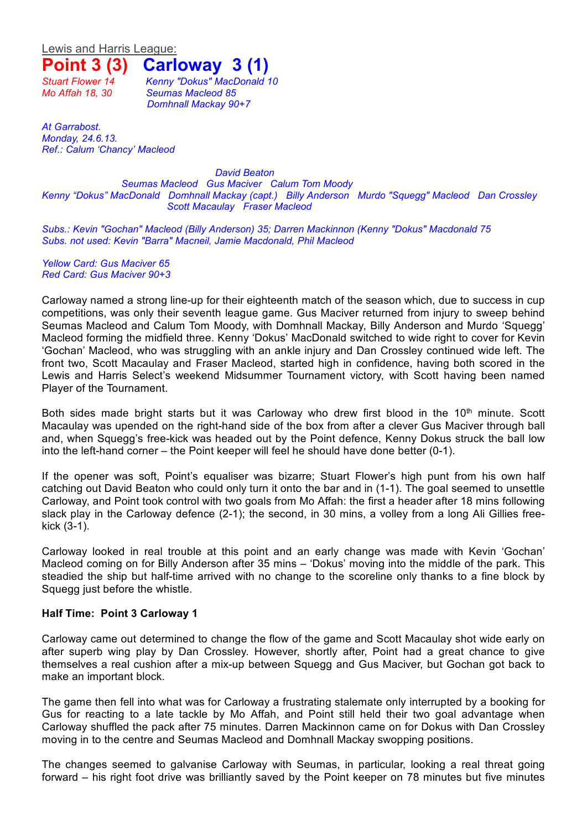Lewis and Harris League:

## **Point 3 (3) Carloway 3 (1)**

*Stuart Flower 14 Kenny "Dokus" MacDonald 10 Mo Affah 18, 30 Seumas Macleod 85 Domhnall Mackay 90+7*

*At Garrabost. Monday, 24.6.13. Ref.: Calum 'Chancy' Macleod*

*David Beaton Seumas Macleod Gus Maciver Calum Tom Moody Kenny "Dokus" MacDonald Domhnall Mackay (capt.) Billy Anderson Murdo "Squegg" Macleod Dan Crossley Scott Macaulay Fraser Macleod*

*Subs.: Kevin "Gochan" Macleod (Billy Anderson) 35; Darren Mackinnon (Kenny "Dokus" Macdonald 75 Subs. not used: Kevin "Barra" Macneil, Jamie Macdonald, Phil Macleod*

*Yellow Card: Gus Maciver 65 Red Card: Gus Maciver 90+3*

Carloway named a strong line-up for their eighteenth match of the season which, due to success in cup competitions, was only their seventh league game. Gus Maciver returned from injury to sweep behind Seumas Macleod and Calum Tom Moody, with Domhnall Mackay, Billy Anderson and Murdo 'Squegg' Macleod forming the midfield three. Kenny 'Dokus' MacDonald switched to wide right to cover for Kevin 'Gochan' Macleod, who was struggling with an ankle injury and Dan Crossley continued wide left. The front two, Scott Macaulay and Fraser Macleod, started high in confidence, having both scored in the Lewis and Harris Select's weekend Midsummer Tournament victory, with Scott having been named Player of the Tournament.

Both sides made bright starts but it was Carloway who drew first blood in the  $10<sup>th</sup>$  minute. Scott Macaulay was upended on the right-hand side of the box from after a clever Gus Maciver through ball and, when Squegg's free-kick was headed out by the Point defence, Kenny Dokus struck the ball low into the left-hand corner – the Point keeper will feel he should have done better (0-1).

If the opener was soft, Point's equaliser was bizarre; Stuart Flower's high punt from his own half catching out David Beaton who could only turn it onto the bar and in (1-1). The goal seemed to unsettle Carloway, and Point took control with two goals from Mo Affah: the first a header after 18 mins following slack play in the Carloway defence (2-1); the second, in 30 mins, a volley from a long Ali Gillies freekick (3-1).

Carloway looked in real trouble at this point and an early change was made with Kevin 'Gochan' Macleod coming on for Billy Anderson after 35 mins – 'Dokus' moving into the middle of the park. This steadied the ship but half-time arrived with no change to the scoreline only thanks to a fine block by Squegg just before the whistle.

## **Half Time: Point 3 Carloway 1**

Carloway came out determined to change the flow of the game and Scott Macaulay shot wide early on after superb wing play by Dan Crossley. However, shortly after, Point had a great chance to give themselves a real cushion after a mix-up between Squegg and Gus Maciver, but Gochan got back to make an important block.

The game then fell into what was for Carloway a frustrating stalemate only interrupted by a booking for Gus for reacting to a late tackle by Mo Affah, and Point still held their two goal advantage when Carloway shuffled the pack after 75 minutes. Darren Mackinnon came on for Dokus with Dan Crossley moving in to the centre and Seumas Macleod and Domhnall Mackay swopping positions.

The changes seemed to galvanise Carloway with Seumas, in particular, looking a real threat going forward – his right foot drive was brilliantly saved by the Point keeper on 78 minutes but five minutes